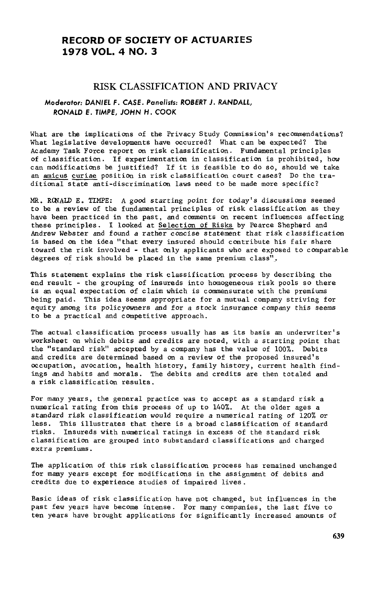# **RECORD OF** S**OC**I**ETY OF ACTUAR**I**E**S **19**7**8 VOL. 4 NO**. **3**

# RISK C**L**ASSI**F**IC**A**TIO**N** A**N**D PRIVACY

## M**o**d**e**r**a**t**o**r: DANIEL F**.** CASE. P**a**n**e**lists**:** R**O**BERT J**.** RANDALL, R**O**NALD E**.** TIMPE, J**O**HN H**.** C**OO**K

What are the implications of the Privacy Study Commission's recommendations?<br>What legislative developments have occurred? What can be expected? The What legislative developments have occurred? What can be expected? Acad**e**my Task Forc**e** r**e**port on risk classification. Fundamental principles of classification**.** If **e**xp**e**rimentation in classification is prohibited, how can modifications b**e** justifi**e**d? If it is feasible to do so, should we tak**e** an amicus curiae position in risk classification court cases? Do the traditi**o**nal state anti-discrimination laws need to be made more sp**e**cific?

MR. RQNALD E**o** TIMPE: A g**o**od starting point for today's discussions seemed to be a review of the fundamental principles of risk classification as they have been practiced in the past, and comments on recent influ**e**nces affecting these prin**c**iples**.** I looked at Selection of Risks by Pearce **S**hepherd and Andrew Webster and found a rather concise statement that risk classification is based on the idea "that every insured should contribute his fair share toward the risk involved - that only applicants who are expos**e**d to comparable degrees of risk should be pla**ce**d in the same premium class",

This statement explains the risk classification process by describing the end result - the grouping of insureds into homogeneous risk pools so there is an equal expectation of claim which is commensurate with the premiums being paid. This idea seems appropriate for a mutual company striving for equity among its policyOwners and for a stock insuranc**e** company this seems to be a practical and competitive approach.

The actu**a**l classification process usually has as its basis an underwriter's worksheet On which **d**ebits and credits are noted, with a starting point that the "standard risk" accepted by a company has the value of 100%. Debits and **c**redits are determined based on a review of the proposed insured's occupation, avocation, health history, family history, current health findings and habits and morals. The debits and credits ar**e** then totaled and a risk classification results.

For many years, the general practice was to accept as a standard risk a numerical rating from this process of up to 140%. At the older ages a standard risk classification would require a numerical rating of 120% or less. Thi**s** illustrates that there is a broad classification of standard risks. In**s**ureds with numerical ratings in excess of the standard risk classification are grouped into substandard classifications and charged extra pr**e**miums.

The application of this risk classification process has remained unchanged for many years except for modifications in the assignment of debits and credits due to experience studies of impaired lives.

Basic ideas of risk classification have not changed, but influences in the past few years have become intense. For many companies, the last five to ten years have brought applications for significantly increased amounts of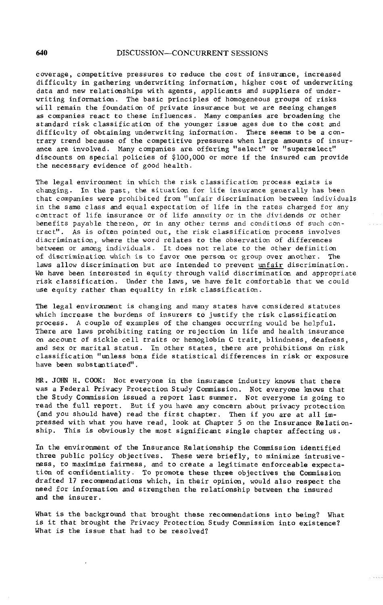coverage, competitive pressures to reduce the cost of insursmce, increased difficulty in gathering underwriting information, higher cost of underwriting data and new relationships with agents, applicants and suppliers of underwriting information. The basic principles of homogeneous groups of risks will remain the foundation of private insurance but we are seeing changes as companies react to these influences. Many companies are broadening the standard risk classification of the younger issue ages due to the cost and difficulty of obtaining underwriting information. There seems to be a contrary trend because of the competitive pressures when large amounts of insurance are involved. Many companies are offering "select" or "superselect" discounts on special policies of \$I00,000 or more if the insured can provide the necessary evidence of good health.

The legal environment in which the risk classification process exists is changing. In the past, the situation for life insurance generally has been that companies were prohibited from "unfair discrimination between individuals in the same class and equal expectation of life in the rates charged for any contract of life insurance or of life annuity or in the dividends or other benefits payable thereon, or in any other terms and conditions of such contract". As is often pointed out, the risk classification process involves discrimination, where the word relates to the observation of differences between or among individuals. It does not relate to the other definition of discrimination which is to favor one person or group over another. The laws allow discrimination but are intended to prevent unfair discrimination. We have been interested in equity through valid discrimination and appropriate risk classification. Under the laws, we have felt comfortable that we could use equity rather than equality in risk classification.

The legal environment is changing and many states have considered statutes which increase the burdens of insurers to justify the risk classification process. A couple of examples of the changes occur**r**ing would be helpful. There are laws prohibiting rating or rejection in life and health insurance on account of sickle cell traits or hemoglobin C trait, blindness, deafness, and sex or marital status. In other states, there are prohibitions on risk classification "unless bona fide statistical differences in risk or exposure have been substantiated".

MR. JOHN H. COOK: Not everyone in the insurance industry knows that there waS a Federal Privacy Protection Study Commission. Not everyone knows that the Study Commission issued a report last summer. Not everyone is going to read the full report. But if you have any concern about privacy protection (and you should have) read the first chapter. Then if you are at all impressed with what you have read, look at Chapter 5 on the Insurance Relationship. This is obviously the most significant single chapter affecting us.

In the environment of the Insurance Relationship the Commission identified three public policy objectives. These were briefly, to minimize intrusivehess, to maximize fairness, and to create a legitimate enforceable expectation of confidentiality. To promote these three objectives the Commission drafted 17 recommendations which, in their opinion, would also respect the need for information and strengthen the relationship between the insured and the insurer.

What is the background that brought these recommendations into being? What is it that brought the Privacy Protection Study Commission into existence? What is the issue that had to be resolved?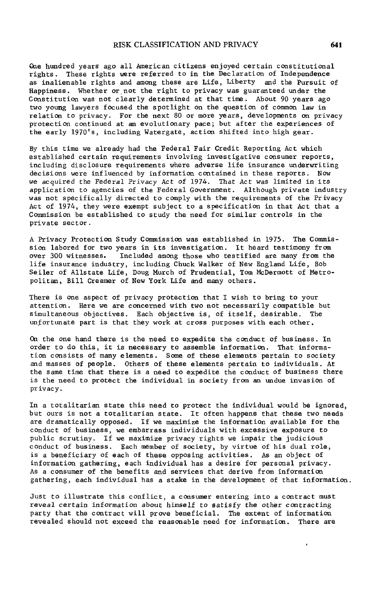### RISK CL**A**SSIFICATION AND **P**RIVACY 641

On**e** hundred years ago all American citizens enjoyed certain constitutional rights. These rights were referred to in the Declaration of Independence as inalienable rights and among these are Life, Liberty and the Pursuit of Happiness. Whether or not the right to privacy was guaranteed under the Constitution was not clearly determined at that time. About 90 years ago two you**n**g lawyers focused the spotlight on the question of common law in r**e**lation to privacy. For the next 80 or more years, developments on privacy protection continued at an evolutionary pace; but after the experiences of the early 1970's, including Wat**e**rgate, action shifted into high gear.

By this time we already had the Federal Fair Credit Reporting Act which established certain requirements involving investigative consumer reports, including disclosure requirements where adverse life insurance underwriting decisions were influenced by information contained in these reports. Now we acquired the Federal Privacy Act of 1974. That Act was limited in its application to agencies of the Federal Government. Although private industry was not specifically directed to comply with the requirements of the Privacy Act of 1974, they were exempt subject to a specification in that Act that a Commission be established to study the need for similar controls in the private sector.

A Privacy Protection Study Commission was established in 1975. The Commission labored for two years in its investigation. It heard testimony from<br>over 300 witnesses. Included among those who testified are many from the Included among those who testified are many from the life insurance industry, including Chuck Walker of New England Life, Bob Seiler of Allstate Life, Doug Murch of Prud**e**ntial, Tom McDermott of Metropolitan, Bill Creamer of New York Life and many others.

There is one aspect of privacy protection that I wish to bring to your attention. Here we are concern**e**d with two not necessarily compatible but simultaneous objectives. Each objective is, of itself, desirable. The unfortunate part is that they work at cross purposes with each other.

On the one hand there is the ne**e**d to expedite the conduct of business. In order to do this, it is necessary to assemble information. That information consists of many elements. Some of these elements pertain to society and masses of p**e**ople. Others of these elements p**e**rtain to individuals. At the same time that there is a need to expedite the conduct of business there is the need to protect the individual in society from an undue invasion of privacy.

In a totalitarian state this need to prot**e**ct the individual would b**e** ignored, but ours is not a totalitarian state. It often happens that these two needs are dramatically opposed. If we maximize the information available for the conduct of business, we embarrass individuals with excessive exposure to public scrutiny. If we maximize privacy rights we impair the judicious conduct of business. Each member of society, by virtue of his dual role, is a ben**e**ficiary of each of these opposing activities. As an object of information gath**e**ring, each individual has a desire for personal privacy. As a consumer of the b**e**nefits and services that derive from information gathering, each individual has a stake in th**e** development of that information.

Just to illustrate this conflict, a consumer entering into a contract must reveal certain information about himself to **s**atisfy the other contracting party that the contract will prove beneficial. The extent of information revealed should not ex**c**eed the reasonable need for information. There are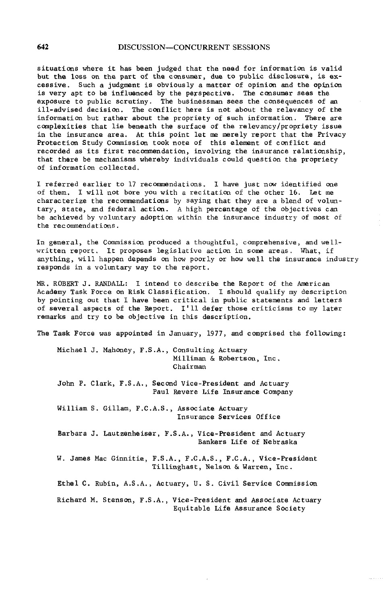## 642 DISCUSSION--CONCU*RR*ENT SESSIONS

situations where it has been judged that the need for information is valid but the loss on the part of the consumer, due to public disclosure, is excessive. Such a judgment is obviously a matter of opinion and the opinion is very apt to be influenced by the perspective. The consumer sees the exposure to public scrutiny. The businessman sees the consequences of an ill-advised decision. The conflict here is not about th**e** relevancy of the information but rather about the propriety of such information. There are complexities that lie beneath the surface of the relevancy/propri**e**ty issue in the insurance area. At this point let me merely report that th**e** Privacy Protection Study Commission took note of this element of conflict and recorded as its first recommendation, involving the insurance relationship, that there be mechanisms whereby individuals could question the propriety of information collect**e**d.

I referred earlier to 17 recommendations. I have just now identified one of them. I will not bore yOu with a recitation of the other 16. Let me characterize th**e** recommendations by saying that they are a blend of voluntary, state, and fed**e**ral action. A high percentage of the objectives can be achieved by voluntary adoption within the insurance industry of most of the recomm**e**ndations.

In g**e**neral, the Commission produced a thoughtful, comprehensive, and wellwritten report**.** It proposes legislative action in some areas. What, if anything, will happen depends on how poorly or how well th**e** insurance industry responds in a voluntary way to the report.

MR. ROBERT J. RANDALL: I intend to describe the Report of the American Academy Task Force on Risk Classification. I should qualify my description by pointing out that I have been critical in public statements and letters of several aspects of the Report. I'ii defer those criticisms to my later remarks and try to be objective in this d**e**scription.

The Task Force was appointed in January, 1977, and comprised the following:

Michael J. Mahoney, F.S.A., Consulting Actuary Milliman & Robertson, Inc**.** Chairman

John P. Clark, F.S**.**A**.**, Second Vic**e**-President and Actuary Paul Revere Life Insurance Company

William S. Gillam, F**.**C.A.S., Associate Actuary Insurance Services Office

Barbara J**.** Lautzenh**e**iser, F.S.A., Vice-President and Actuary Bank**e**r**s** Life of Nebraska

W. James Mac Ginnitie, F.S**.**A., F.C.A.S., F.C.A., Vice-Pr**e**sident Tillinghast, Nelson & Warren, Inc.

Ethel C. Rubin, A.S.A., Actuary, U. S. Civil Service CommissiOn

Richard M. StensOn, F.S.A., Vice-President and AssOciat**e** Actuary Equitable Life Assurance Soci**e**ty

and a series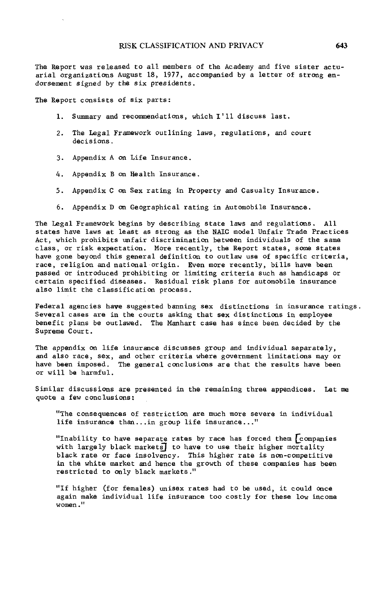The Report was rel**e**ased t**o** all members of the Academy and five sister actuarial organizations August 18, 1977, accompanied by a letter of str**o**ng **e**ndorse**m**ent signed by the six presid**e**nts.

The Report consists of six parts:

- 1. Summary and recommendations, which I'll discuss last.
- 2. The Legal Framework outlining laws, regulations, and court decisions.
- 3. Appendi**x** A **o**n Life Insuran**ce**.
- 4. App**e**ndix B On Health Insuranc**e**.
- 5. Appendix C on Sex rating in Property and Casualty Insurance.
- 6. App**e**ndix D on Geographical rating in Automobile Insur**a**n**c**e.

The Legal Framework begins by describing state laws and regulations**.** All stat**e**s have laws at least as strong as th**e** NAIC mod**e**l Unfair Trade Practices Act, which prohibits unfair discrimination between individuals of the sam**e** class, or risk e**x**pe**c**tation. More recently, the Rep**o**rt states, s**o**me states have gone beyond this general definition to outlaw use of specific criteria, race, religion and national origin. Even mor**e** rec**e**ntly, bills have been passed or introduced pr**o**hibiting or limiting criteria such as handicaps or cert**a**in sp**ec**ified diseases. Residual risk plans for automobile insurance also limit th**e** classification process.

Federal agencies have suggested banning sex distinctions in insurance ratings. Sev**e**ral cases are in the courts asking that sex distinctions in employee benefit plans **b**e outlawed. **T**he Manhart case has **s**inc**e** been decided by the Supreme Court.

The appendix on life insuranc**e** discusses group and individual separately, and also race, s**e**x, and other crit**e**ria where government limitations may or have been imposed**.** Th**e** gen**e**ral conclusions are that the results have been or will be harmful.

Similar discussions are presented in the remaining thre**e** appendices. Let me quote a f**e**w c**o**nclusions:

"**T**he consequences **o**f r**e**striction are much more s**e**vere in individual life insurance than...in group life insurance..."

"Inability to have separate rates by race has forced them  $\sqrt{\frac{1}{2}}$  companies with largely black markets] to have to use their higher mortality black rate or face insolvency. This higher rate is non-competitive in th**e** white marke**t** and henc**e** th**e** growth of thes**e** companies has b**e**en restrict**e**d to only black markets ."

"If higher (for females) unisex rates had to be used, it could once again make individual life insurance too costly for these l**o**w incom**e** women."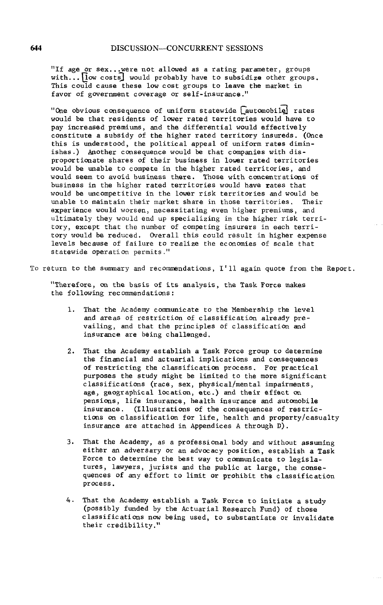"If age or sex...were not allowed as a rating parameter, groups with...  $\lceil \log \text{costs} \rceil$  would probably have to subsidize other groups. This could cause these low cost groups to leave the market in favor of government coverage or self-insurance."

"One obvious consequence of uniform statewide [automobile] rates would be that residents of lower rated territories would have to pay increased premiums, and the differential would effectively constitute a subsidy of the higher rated territory insureds. (Once this is understood, the political appeal of uniform rates diminishes.) Another consequence would be that companies with disproportionate shares of their business in lower rated territories would be unable to compete in the higher rated territories, and would seem to avoid business there. Those with concentrations of business in the higher rated territories would have rates that would be uncompetitive in the lower risk territories and would be unable to maintain their market share in those territories. Their experience would worsen, necessitating even higher premiums, and ultimately they would end up specializing in the higher risk territory, except that the number of competing insurers in eech territory would be reduced. Overall this could result in higher expense levels because of failure to realize the economies of scale that statewide operation permits."

To return to the summary and recommendations, I'Ii again quote from the Report.

"Therefore, on the basis of its analysis, the Task Force makes the following recommendations:

- I. That the Academy communicate to the Membership the level and areas of restriction of classification already prevailing, and that the principles of classification and insurance are being challenged.
- 2. That the Academy establish a Task Force group to determine the financial and actuarial implications and consequences of restricting the classification process. For practical purposes the study might be limited to the more significant classifications (race, sex, physical/mental impairments, age, ge**o**graphical location, etc.) and their effect on pensions, life insurance, health insurance and automobile insurance. (Illustrations of the consequences of restrictions on classification for life, health and property/casualty insurance are attached in Appendices A through D).
- 3. That the Academy, as a professional body and without assuming either an adversary or an advocacy position, establish a Task Force to determine the best way to communicate to legislatures, lawyers, jurists and the public at large, the consequences of any effort to limit or prohibit the classification process.
- 4. That the Academy establish a Task Force to initiate a study (possibly funded by the Actuarial Research Fund) of those classifications now being used, to substantiate or invalidate their credibility."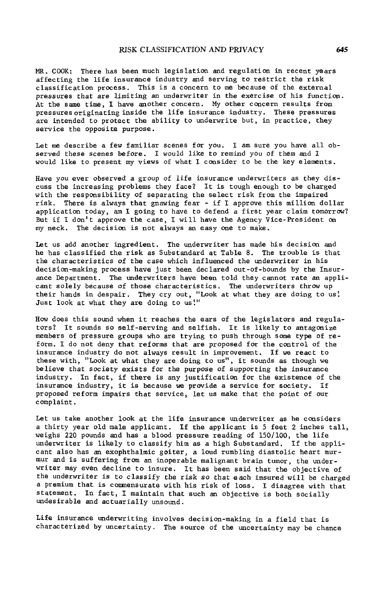MR, COOK: There has been much legislation and regulation in recent years affecting the life insurance industry and serving to restrict the risk classification process. This is a concern to me because of the external pressures that are limiting **a**n underwriter in the exercise of his function. At the same time, I have another concern. My other concern results from pressures originating inside the life insurance industry. These pressures are intended to prote**c**t the ability to underwrite but, in practice, they service the opposite purpose.

Let me describe a few familiar scenes for you. I am sure you have all observed these scenes before. I would like to remind you of them and I would like to present my views of what I consider to be the key elements.

Have you ever observed a group of life insurance underwriters as they discuss the increasing problems they face? It is tough enough to be charged with the responsibility of separating the select risk from the impaired risk. There is always that gnawing fear - if I approve this million dollar application today, am I going to have to defend a first year claim tomorrow? But if I don't approve the case, I will have the Agency Vice-President on my neck. The decision is not always an easy one to make.

Let us add another ingredient. The underwriter has made his decision and he has classified the risk as Substandard at Table 8. The trouble is that the characteristics of the case which influenced the underwriter in his decision-making process have just been declared out-of-bounds by the Insurance Department. The underwriters have been told they cannot rate an applicant solely because of those Characteristics. The underwriters throw up their hands in despair. They cry out, "Look at what they are doing to us'. Just look at what they are doing to us!"

How does this sound when it reaches the ears of the legislators and regulators? It sounds so self-serving and selfish. It is likely to antagonize members of pressure groups who are trying to push through some type of reform. I do not deny that reforms that are proposed for the control of the insurance industry do not always result in improvement. If we react to these with, "Look at what they are doing to us", it sounds as though we believe that society exists for the purpose of supporting the insurance industry. In fact, if there is any justification for the existence of the insurance industry, it is because we provide a service for society. If proposed reform impairs that service, let us make that the point of our complaint.

Let us take another look at the life insurance underwriter as he considers a thirty year old male applicant. If the applicant is 5 feet 2 inches tall, weighs 220 pounds and has a blood pressure reading of 150/100, the life underwriter is likely to classify him as a high Substandard. If the applicant also has an exophthalmic goiter, a loud rumbling diastolic heart murmur and is suffering from an inoperable malignant brain tumor, the underwriter may even decline to insure. It has been said that the objective of the underwriter is to classify the risk so that each insured will be charged a premium that is commensurate with his risk of loss. I disagree with that statement. In fact, I maintain that such an objective is both socially undesirable and actuarially unsound.

Life insurance underwriting involves decision-making in a field that is characterized by uncertainty. The source of the uncertainty may be chance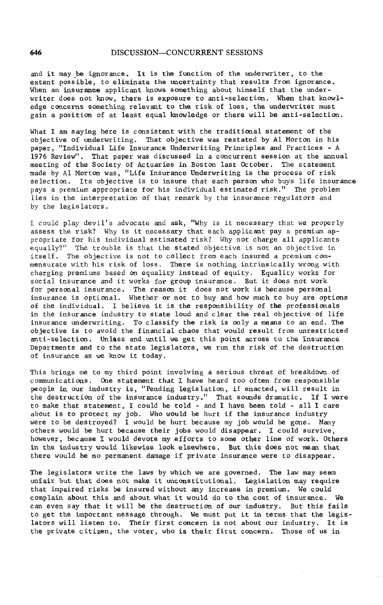and it may be ign**o**rance. It is the function of the underwriter, t**o** the extent possible, to eliminate the uncertainty that results from ignorance. When an insuranc**e** applicant knows something about himself that the underwriter does not know, there is exposure to anti-selection. When that knowledge con**c**ern**s** something relevant to the risk of loss, the underwriter must gain a position of at least equal knowledge or there will be anti-selection.

What I am saying here is consistent with the traditional statement of the objective of underwriting. That objective was restated by AI Morton in his paper, "Individual Life Insurance Underwriting Principles and Practices - A 1976 Review". That paper was discussed in a concurrent session at the annual meeting of the Society of Actuaries in Boston last October. The statemen made by AI Morton was, "Life Insurance Underwriting is the process of risk selection. Its objective is to insure that each person who buys life insurance pays a premium appropriate for his individual estimated risk." The problem lies in the interpretation of that remark by the insurance regulators and by the legislators.

I could play devil's advocate and ask, "Why is it necessary that we properly assess the risk? Why is it necessary that each applicant pay a premium appropriate for his individual estimated risk? Why not charge all applicants equally?" The trouble is that the stated objective is not an objective in itself. The objective is not to collect from each insured a premium commensurate with his risk of loss. There is nothing intrinsically wrong with charging premiums based on equality instead of equity. Equality works for social insurance and it works for group insurance. But it does not work for personal insurance. The reason it does not work is because personal insurance is optional. Whether or not to buy and how much to buy are options of the individual. I believe it is the responsibility of the professionals in the insurance industry to state loud and clear the real objective of life insurance underwriting. To classify the risk is only a means to an end. The objective is to avoid the financial chaos that would result from unrestricted anti-selection. Unl**e**ss and until we get this point across to the Insurance Departments and to the state legislators, we run the risk of the destruction of insurance as we know it today.

This brings me to my third point involving a serious threat of breakdown of communications. One statement that I have heard too often from responsible people in our industry is, "Pending legislation, if enacted, will result in the destructiOn of the insurance industry." That sounds dramatic. If I were to make that statement, I could be told - and I have been told - all I care about is to protect my job. Who would be hurt if the insurance industry were to be destroyed? I would be hurt because my job would be gone. Many others would be hurt because their jobs would disappear. I could survive, however, because I would devote my efforts to some other line of work. Others in the industry would likewise look elsewhere. But this does not mean that there would be no permanent damage if private insurance were to disappear.

The legislators write the laws by which we are governed. The law may seem unfair but that does not make it unconstitutional. Legislation may require that impaired risks b**e** insured without any increase in premium. We could complain about this and about what it would do to the cost of insurance. We can even say that it will be the destruction of our industry. But this fails to get the important message through. We must put it in terms that the legislators will listen to. Their first concern is not about our industry. It is the private citizen, the voter, who is their first concern. Those of us in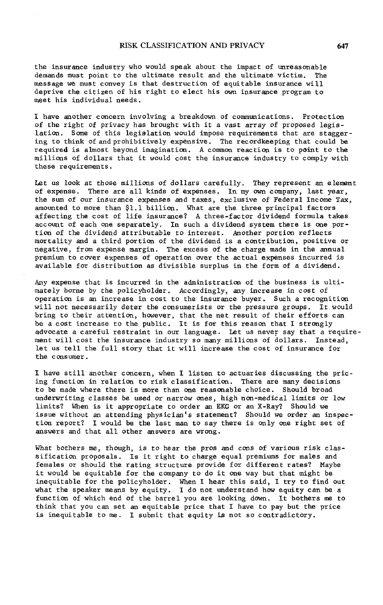the insuran**c**e industry wh**o** wo**u**ld speak about the impact of unreasona**b**le demands must point to the ultimate result and the ultimate victim. The message we must convey is that destruction of equitable insurance will deprive the citizen of his right to elect his own insurance program to meet his individual needs.

I have another concern involving a breakdown of communications. Protection of the right of privacy has brought with it a vast array of proposed legislation. Some of this legislation would impose requirements that are staggering to think of and prohibitively expensive. The recordkeeping that could be required is almost beyond imagination. A common reaction is to p**o**int to the millions **o**f dollars that it would cost the insurance industry to comply with these requirements.

Let us l**oo**k at those millions of dollars carefully. They represent an element **o**f expense. There are all kinds of expenses. In my own company, last year, the sum of our insurance expenses and taxes, exclusive of Federal Income Tax, amounted to more than \$1.1 billion. What are the three principal factors affecting the cost of life insurance? A three-factor dividend formula takes account of each one separately. In such a dividend system there is one portion of the dividend attributable to interest. Another portion reflects mortality and a third portion of the dividend is a contribution, positive or negative, from expense margin. The excess of the charge made in the annual premium to cover expenses of operation over the actual expenses incurred is available for distribution as divisible surplus in the form of a dividend.

Any expense that is incurred in the administration of the business is ultimately borne by the policyholder. Accordingly, any increase in cost of operation is an increase in cost to the insurance buyer. Such a recognition will not necessarily deter the consumerists or the pressure groups. It would bring to their attention, however, that the net result of their efforts can be a cost increase to the public. It is for this reason that I strongly advocate a careful restraint in our language. Let us never say that a requirement will cost the insurance industry so many millions of dollars. Instead, let us tell the full story that it will increase the cost of insurance for the cons umer.

I have still another concern, when I listen to actuaries discussing the pricing function in relation to risk classification. There are many decisions to be made where there is more than one reasonable choice. Should broad underwriting classes be used or narrow ones, high non-medical limits or low limits? When is it appropriate to order an EKG or an X-Ray? Should we issue without an attending physician's statement? Should we order an inspection report? I would be the last man to say there is only one right set of answers and that all other answers are wrong.

What bothers me, though, is to hear the pros and cons of various risk classification proposals. Is it right to charge equal premiums for males and females or should the rating structure provide for different rates? Maybe it would be equitable for the company to do it one way but that might be inequitable for the policyholder. When I hear this said, I try to find out what the speaker means by equity. I do not understand how equity can be a function of which end of the barrel you are looking down. It bothers me to think that you can set an equitable price that I have to pay but the price is inequitable to me. I submit that equity is not so contradictory.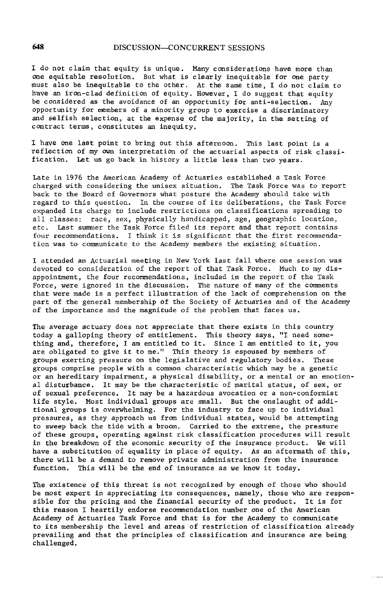I do not claim that equity is unique. Many considerations have more than One equitabl**e** resolution. But what is clearly inequitable for one party must also be inequitable to the other. At the same time, I do not claim to have an iron-clad definition of equity. However, I do suggest that equit be considered as the avoidance of an opportunity for anti-selection. Any opportunity for members of a minority group to ex**e**rcise a discriminatory and selfish selection, at the expense of the majority, in the setting of contract termS, constitutes an inequity.

I have one last point to bring out this afternoon. This last point is a refl**e**ction of my own interpretation of th**e** actuarial aspects of risk classification. Let us go back in history a little less than two years.

Late in 1976 the American Academy of Actuaries established a Task Force charged with considering the unisex situation. The Task Force was to report back to the Board of Governors what posture the Academy should take with regard to this question. In the course of its deliberations, the Task Force expanded its charge to include restrictions on classifications spreading to all classes: race, sex, physically handicapped, age, geographic location, etc. Last summer the Task Force filed its report and that report contains four recommendations. I think it is significant that the first recommendation was to communicate to the Academy members the existing situation.

I attended an Actuarial meeting in New York last fall where one session was devoted to consideration of the report of that Task Force. Much to my disappointment, the four recommendations, included in the report of the Task Force, were ignored in the discussion. The nature of many of the comments that were made is a perfect illustration of the lack of comprehension on the part of the general membership of the Society of Actuaries and of the Academy of the importance and the magnitude of the problem that faces us.

The average actuary does not appreciate that there exists in this country today a galloping theory of entitlement. This theory says, "I need something and, therefore, I am entitled to it. Since I am entitled to it, you are obligated to give it to me." This theory is espoused by members of groups exerting pressure on the legislative and regulatory bodies. These groups comprise people with a common characteristic which may be a genetic or an hereditary impairment, a physical disability, or a mental or an emotional disturbance. It may be the characteristic of marital status, of sex, or of sexual preference. It may be a hazardous avocation or a non-conformist life style. Most individual groups are small. But the onslaught of additional groups is overwhelming. For the industry to face up to individual pressures, as they approach us from individual states, would be attempting to sweep back the tide with a broom. Carried to the extreme, the pressure of these groups, operating against risk classification procedures will result in the breakdown of the economic security of the insurance product. We will have a substitution of equality in place of equity. As an aftermath of this, there will be a demand to remove private administration from the insurance function. This will be the end of insurance as we know it today.

The existence of this threat is not recognized by enough of those who should be most expert in appreciating its consequences, namely, those who are responsible for the pricing and the financial security of the product. It is for this reason I heartily endorse recommendation number one of the American Academy of Actuaries Task Force and that is for the Academy to communicate to its membership the level and areas of restriction of classification already prevailing and that the principles of classification and insurance are being challenged.

ومستحدث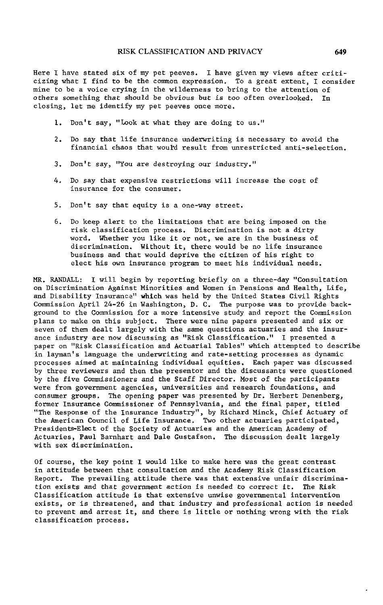Here I have stated six of my pet peeves. I have given my views after criticizing what I find to be the common expression. To a great extent, I consider mine to be a voice crying in the wilderness to bring to the attention of others something that should be obvious but is too often overlooked. In closing, let me identify my pet peeves once more.

- 1. Don't say, "Look at what they are doing to us."
- 2. Do say that life insurance underwriting is necessary to avoid the financial chaos that would result from unrestricted anti-selection.
- 3. Don't say, "You are destroying our industry."
- 4. Do say that expensive restrictions will increase the cost of insurance for the consumer.
- 5. Don't say that equity is a one-way street.
- 6. Do keep alert to the limitations that are being imposed on the risk classification process. Discrimination is not a dirty word. Whether you like it or not, we are in the business of discrimination. Without it, there would be no life insurance business and that would deprive the citizen of his right to elect his own insurance program to meet his individual needs.

MR. RANDALL: I will begin by reporting briefly on a three-day "Consultation on Discrimination Against Minorities and Women in Pensions and Health, Life, and Disability Insurance" which was held by the United States Civil Rights Commission April 24-26 in Washington, D. C. The purpose was to provide background to the Commission for a more intensive study and report the Commission plans to make on this subject. There were nine papers presented and six or seven of them dealt largely with the same questions actuaries and the insurance industry are now discussing as "Risk Classification." I presented a paper on "Risk Classification and Actuarial Tables" which attempted to describe in layman's language the underwriting and rate-setting processes as dynamic processes aimed at maintaining individual equities. Each paper was discussed by three reviewers and then the presentor and the discussants were questioned by the five Commissioners and the Staff Director. Most of the participants were from government agencies, universities and research foundations, and consumer groups. The opening paper was presented by Dr. Herbert Denenberg, former Insurance Commissioner of Pennsylvania, and the final paper, titled "The Response of the Insurance Industry", by Richard Minck, Chief Actuary of the American Council of Life Insurance. Two other actuaries participate Presidents-Elect of the Society of Actuaries and the American Academy of Actuaries, Paul Barnhart and Dale Gustafson. The discussion dealt largely with sex discrimination.

Of course, the key point I would like to make here was the great contrast in attitude between that consultation and the Academy Risk Classification Report. The prevailing attitude there was that extensive unfair discrimination exists and that government action is needed to correct it. The Risk Classification attitude is that extensive unwise governmental intervention exists, or is threatened, and that industry and professional action is needed to prevent and arrest it, and there is little or nothing wrong with the risk classification process.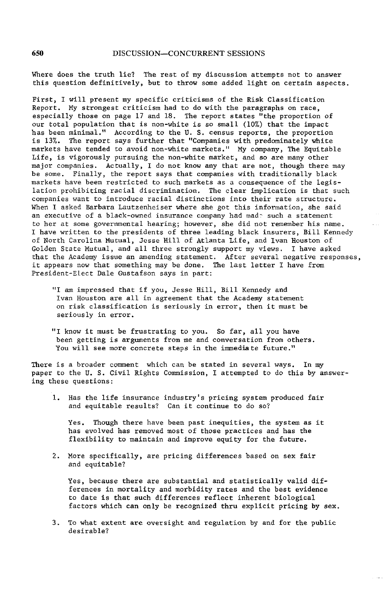Where d**o**es the truth lie? The rest of m**y** discussion attempts not to answer this question definitively, but to throw some added light on certain aspects.

First, I will present my specific criticisms of the Risk Classification Report. My strongest criticism had to do with the paragraphs on race, especially those on page 17 and 18. The report states "the proportion of our total population that is non-white is so small (10%) that the impact has been minimal." According to the U. S. census reports, the proportion is 13%. The report says further that "Companies with predominately white markets have tended to avoid non-white markets." My company, The Equitable Life, is vigorously pursuing the non-white market, and so are many other major companies. Actually, I do not know any that are not, though there may be some. Finally, the report says that companies with traditionally black markets have been restricted to such markets as a consequence of the legislation prohibiting racial discrimination. The clear implication is that such companies want to introduce racial distinctions into their rate structure. When I asked Barbara Lautzenheiser where she got this information, she said an executive of a black-owned insurance company had made such a statement to her at some governmental hearing; however, she did not remember his name. I have written to the presidents of three leading black insurers, Bill Kennedy of North Carolina Mutual, Jesse Hill of Atlanta Life, and Ivan Houston of Golden State Mutual, and all three strongly support my views. I have asked that the Academy issue an amending statement. After several negative responses, it appears now that something may be done. The last letter I have from President-Elect Dale Gustafson says in part:

- "I am impressed that if you, Jesse Hill, Bill Kennedy and Ivan Houston are all in agreement that the Academy statement on risk classification is seriously in error, then it must be seriously in error.
- "I know it must be frustrating to you. So far, all you have been getting is arguments from me and conversation from others. You will see more concrete steps in the immediate future."

There is a broader comment which can be stated in several ways. In my paper to the U. S. Civil Rights Commission, I attempted to do this by answering these questions:

I. Has the life insurance industry's pricing system produced fair and equitable results? Can it continue to do so?

Yes. Though there have been past inequities, the system as it has evolved has removed most of those practices and has the flexibility to maintain and improve equity for the future.

2. More specifically, are pricing differences based on sex fair and equitable?

Yes, because there are substantial and statistically valid differences in mortality and morbidity rates and the best evidence to date is that such differences reflect inherent biological factors which can only be recognized thru explicit pricing by sex.

3. To what extent are oversight and regulation by and for the public desirable?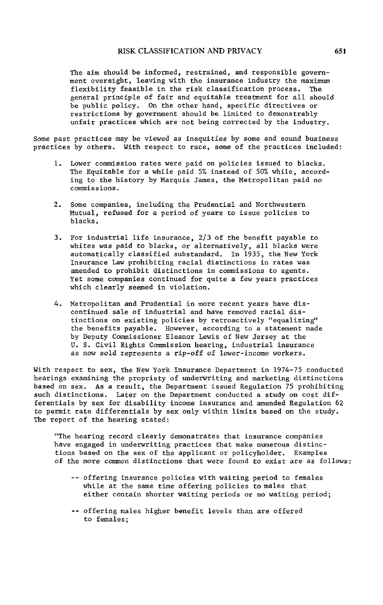The aim should be informed, restrained, and responsible **g**overnment oversight, leaving with the insurance industry the maximum flexibility feasible in the risk classification process. The general principle of fair and equitable treatment for all should be public p**o**licy. On the other hand, specific directives or restrictions by government should be limited to demonstrably unfair practices which are not being corrected by the industry.

Some past practices may be viewed as inequities by some and sound business practices by others. With respect to race, some of the practices included**:**

- I. Lower commission rates were paid on policies issued to blacks. The Equitable for a while paid 5% instead of 5**0**% while, according to the history by Marquis James, the Metropolitan paid no commissions.
- 2. S**o**me companies, including the Prudential and Northwestern Mutual, refused for a period of years to issue policies to blacks.
- 3. For industrial life insurance, 2/3 of the benefit payable to whites was paid to blacks**,** or alternatively, all blacks were automatically classified substandard. In 1935, the New York Insurance Law prohibiting racial distinctions in rates was amended to prohibit distinctions in commissions to agents. Yet some companies continued for quite a few years practices which clearly seamed in violation.
- 4. Metropolitan and Prudential in more recent years have discontinued sale of industrial and have removed racial distinctions on existing policies by retroactively "equalizing" the benefits payable. However, acc**o**rding to a statement made by Deputy Commissioner Eleanor Lewis of New Jersey at the U. S. Civil Rights Commission hearing, industrial insurance as now sold represents a rip-off of lower-income workers.

With respect to sex, the New York Insurance Department in 1974-75 conducted hearings examining the propriety of underwriting and marketing distinctions based on sex. As a result, the Department issued Regulation 75 prohibiting such distinctions. Later on the Department conducted a study on cost differentials by sex for disa**b**ility income insurance and amended Regulation 62 to permit rate differentials by sex only within limits based on the study. The report of the hearing stated:

"The hearing record clearly demonstrates that insurance companies have engaged in underwriting practices that make numerous distinctions based on the sex of the applicant or policyholder. Examples of the more common distinctions that were found to exist are as follows:

- -- offering insurance policies with waiting period to females while at the same time offering policies to males that either contain shorter waiting periods or no waiting period;
- -- offering males higher benefit levels than are offered to females;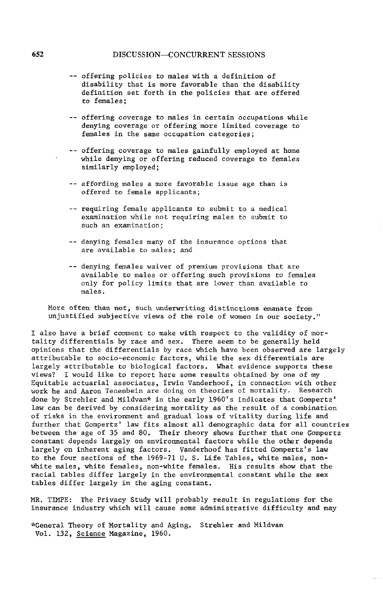- -- offering policies to males with a definition of disability that is more favorable than the disability definition set forth in the policies that are offered t**o** females;
- -- offering coverage to males in certain occupations while denying coverage or offering more limited coverage to females in the same occupation categories;
- -- offering coverage to males gainfully employed at home while denying or offering reduced coverage to females similarly employed;
- -- affording males a more favorable issue age than is offered to female applicants;
- -- requiring female applicants to submit to a medical examination while not requiring males to submit to such an examination;
- -- denying females many of the insurance options that are available to males; and
- -- denying females waiver of premium provisions that are available to males or offering such provisions to females only for policy limits that are lower than available to males.

More often than not, such underwriting distinctions emanate from unjustified subjective views of the role of women in our society."

I also have a brief comment to make with respect to the validity of mortality differentials by race and sex. There seem to be generally held opinions that the differentials by race which have been observed are largely attributable to socio-economic factors, while the sex differentials are largely attributable to biological factors. What evidence supports these views? I would like to report here some results obtained by one of my Equitable actuarial associates, Irwin Vanderhoof, in connection with other work he and Aaron Tenenbein are doing on theories of mortality. Research done by Strehler and Mildvan\* in the early 1960's indicates that Gompertz' law can be derived by considering mortality as the result of a combination of risks in the environment and gradual loss of vitality during life and further that Gompertz' law fits almost all demographic data for all countries between the age of 35 and 80. Their theory shows further that one Gompertz constant depends largely on environmental factors while the other depends largely on inherent aging factors. Vanderhoof has fitted Gompertz's law to the four sections of the 1969-71 U. S. Life Tables, white males, nonwhite males, white females, non-white females. His results show that the racial tables differ largely in the environmental constant while the sex tables differ largely in the aging constant.

MR. TIMPE: The Privacy Study will probably result in regulations for the insurance industry which will cause some administrative difficulty and may

 $\tau$  in  $\tau$  ,  $\tau$ 

\*General Theory of Mortality and Aging. Strehler and Mildvan Vol. 132, Science Magazine, 1960.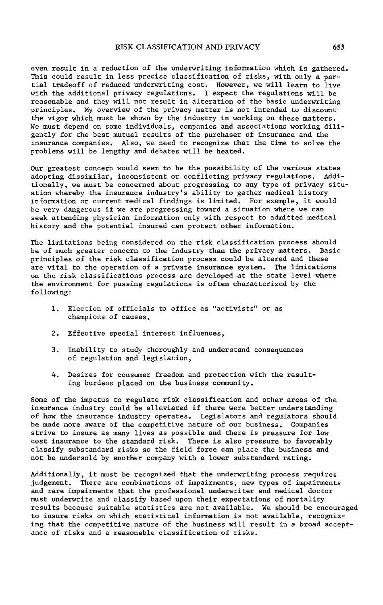even result i**n** a reduction of the un**d**erwriting information whi**c**h is gathered. This could result in less precise classification of risks, with only a partial tradeoff of reduced underwriting cost. However, we will learn to live with the additional privacy regulations. I expect the regulations will be reasonable and they will not result in alteration of the basic underwriting principles. My overview of the privacy matter is not intended to dis**c**ount the vigor which must be shown by the industry in working on these matters. We must depend on some individuals, companies and associations working diligently for the best mutual results of the purchaser of insurance and the insurance companies. Also, we need to recognize that the time to solve the problems will be lengthy and debates will be heated.

Our greatest concern would seem to be the possibility of the various states adopting dissimilar, inconsistent or conflicting privacy regulations. Additionally, we must be concerned about progressing to any type of privacy situation whereby the insurance industry's ability to gather medical history information or current medical findings is limited. For example, it would be very dangerous if we are progressing toward a situation where we can seek attending physi**c**ian information only with respect to admitted medical history and the potential insured can protect other information.

The limitations being considered on the risk classification process should be of much greater concern to t**h**e industry than the privacy matters. Basic principles of the risk classification process could be altered and these are vital to t**h**e operation of a private insurance system. The limitations on the risk classifications process are developed at the state level where the environment for passing regulations is often characterized by the following:

- i. Election of officials to office as "activists" or as champions of causes,
- 2. Effective special interest influences,
- 3. Inability to study thoroughly and understand conse**q**uences of regulation and legislation,
- 4. Desires for consumer freedom and protection with the resulting burdens placed on the business community.

Some of the impetus to regulate risk classification and other areas of the insurance industry could be alleviated if there were better understanding of how the insurance industry operates. Legislators and regulators should be made more aware of the competitive nature of our business. Companies strive to insure as many lives as possible and there is pressure for low cost insuran**c**e to the standard risk. There is also pressure to favorabl**y** classify substandard risks so the field force can place the business and not be undersold by anot**h**er **c**ompany with a lower substandard rating.

Additionally, it must be recognized that the underwriting process requires judgement. There are **c**ombinations of impairments, new types of impairments and rare impairments that the professional underwriter and medical do**c**tor must underwrite and classify based upon their expectations of mortality results because suit**a**ble statistics are not available. We should be encouraged to insure risks on which statistical information is not available, recognizing that the competitive nature of the business will result in a broad acceptance of risks and a reasonable classification of risks.